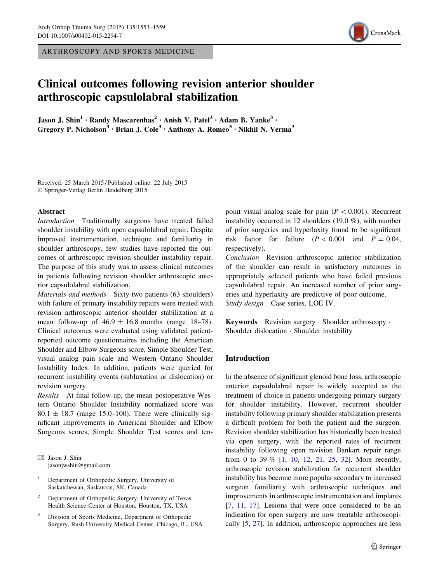ARTHROSCOPY AND SPORTS MEDICINE



# Clinical outcomes following revision anterior shoulder arthroscopic capsulolabral stabilization

Jason J. Shin<sup>1</sup> • Randy Mascarenhas<sup>2</sup> • Anish V. Patel<sup>3</sup> • Adam B. Yanke<sup>3</sup> • Gregory P. Nicholson<sup>3</sup> • Brian J. Cole<sup>3</sup> • Anthony A. Romeo<sup>3</sup> • Nikhil N. Verma<sup>3</sup>

Received: 25 March 2015 / Published online: 22 July 2015 - Springer-Verlag Berlin Heidelberg 2015

# Abstract

Introduction Traditionally surgeons have treated failed shoulder instability with open capsulolabral repair. Despite improved instrumentation, technique and familiarity in shoulder arthroscopy, few studies have reported the outcomes of arthroscopic revision shoulder instability repair. The purpose of this study was to assess clinical outcomes in patients following revision shoulder arthroscopic anterior capsulolabral stabilization.

Materials and methods Sixty-two patients (63 shoulders) with failure of primary instability repairs were treated with revision arthroscopic anterior shoulder stabilization at a mean follow-up of  $46.9 \pm 16.8$  months (range 18–78). Clinical outcomes were evaluated using validated patientreported outcome questionnaires including the American Shoulder and Elbow Surgeons score, Simple Shoulder Test, visual analog pain scale and Western Ontario Shoulder Instability Index. In addition, patients were queried for recurrent instability events (subluxation or dislocation) or revision surgery.

Results At final follow-up, the mean postoperative Western Ontario Shoulder Instability normalized score was  $80.1 \pm 18.7$  (range 15.0–100). There were clinically significant improvements in American Shoulder and Elbow Surgeons scores, Simple Shoulder Test scores and ten-

- <sup>2</sup> Department of Orthopedic Surgery, University of Texas Health Science Center at Houston, Houston, TX, USA
- <sup>3</sup> Division of Sports Medicine, Department of Orthopedic Surgery, Rush University Medical Center, Chicago, IL, USA

point visual analog scale for pain ( $P \lt 0.001$ ). Recurrent instability occurred in 12 shoulders (19.0 %), with number of prior surgeries and hyperlaxity found to be significant risk factor for failure  $(P < 0.001$  and  $P = 0.04$ , respectively).

Conclusion Revision arthroscopic anterior stabilization of the shoulder can result in satisfactory outcomes in appropriately selected patients who have failed previous capsulolabral repair. An increased number of prior surgeries and hyperlaxity are predictive of poor outcome. Study design Case series, LOE IV.

Keywords Revision surgery · Shoulder arthroscopy · Shoulder dislocation - Shoulder instability

# Introduction

In the absence of significant glenoid bone loss, arthroscopic anterior capsulolabral repair is widely accepted as the treatment of choice in patients undergoing primary surgery for shoulder instability. However, recurrent shoulder instability following primary shoulder stabilization presents a difficult problem for both the patient and the surgeon. Revision shoulder stabilization has historically been treated via open surgery, with the reported rates of recurrent instability following open revision Bankart repair range from 0 to 39 % [1, 10, 12, 21, 25, 32]. More recently, arthroscopic revision stabilization for recurrent shoulder instability has become more popular secondary to increased surgeon familiarity with arthroscopic techniques and improvements in arthroscopic instrumentation and implants [7, 11, 17]. Lesions that were once considered to be an indication for open surgery are now treatable arthroscopically [5, 27]. In addition, arthroscopic approaches are less

 $\boxtimes$  Jason J. Shin jasonjwshin@gmail.com

<sup>&</sup>lt;sup>1</sup> Department of Orthopedic Surgery, University of Saskatchewan, Saskatoon, SK, Canada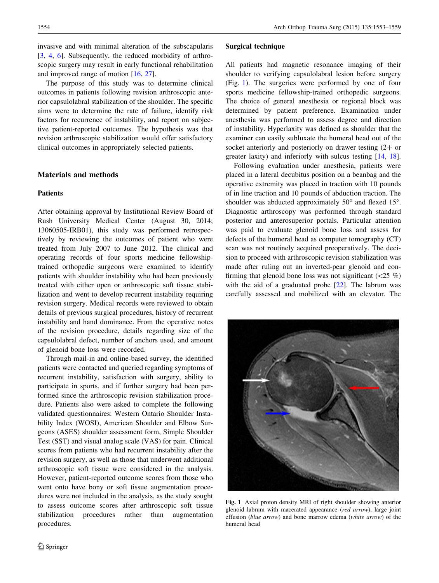invasive and with minimal alteration of the subscapularis [3, 4, 6]. Subsequently, the reduced morbidity of arthroscopic surgery may result in early functional rehabilitation and improved range of motion [16, 27].

The purpose of this study was to determine clinical outcomes in patients following revision arthroscopic anterior capsulolabral stabilization of the shoulder. The specific aims were to determine the rate of failure, identify risk factors for recurrence of instability, and report on subjective patient-reported outcomes. The hypothesis was that revision arthroscopic stabilization would offer satisfactory clinical outcomes in appropriately selected patients.

# Materials and methods

# Patients

After obtaining approval by Institutional Review Board of Rush University Medical Center (August 30, 2014; 13060505-IRB01), this study was performed retrospectively by reviewing the outcomes of patient who were treated from July 2007 to June 2012. The clinical and operating records of four sports medicine fellowshiptrained orthopedic surgeons were examined to identify patients with shoulder instability who had been previously treated with either open or arthroscopic soft tissue stabilization and went to develop recurrent instability requiring revision surgery. Medical records were reviewed to obtain details of previous surgical procedures, history of recurrent instability and hand dominance. From the operative notes of the revision procedure, details regarding size of the capsulolabral defect, number of anchors used, and amount of glenoid bone loss were recorded.

Through mail-in and online-based survey, the identified patients were contacted and queried regarding symptoms of recurrent instability, satisfaction with surgery, ability to participate in sports, and if further surgery had been performed since the arthroscopic revision stabilization procedure. Patients also were asked to complete the following validated questionnaires: Western Ontario Shoulder Instability Index (WOSI), American Shoulder and Elbow Surgeons (ASES) shoulder assessment form, Simple Shoulder Test (SST) and visual analog scale (VAS) for pain. Clinical scores from patients who had recurrent instability after the revision surgery, as well as those that underwent additional arthroscopic soft tissue were considered in the analysis. However, patient-reported outcome scores from those who went onto have bony or soft tissue augmentation procedures were not included in the analysis, as the study sought to assess outcome scores after arthroscopic soft tissue stabilization procedures rather than augmentation procedures.

## Surgical technique

All patients had magnetic resonance imaging of their shoulder to verifying capsulolabral lesion before surgery (Fig. 1). The surgeries were performed by one of four sports medicine fellowship-trained orthopedic surgeons. The choice of general anesthesia or regional block was determined by patient preference. Examination under anesthesia was performed to assess degree and direction of instability. Hyperlaxity was defined as shoulder that the examiner can easily subluxate the humeral head out of the socket anteriorly and posteriorly on drawer testing  $(2 + or)$ greater laxity) and inferiorly with sulcus testing [14, 18].

Following evaluation under anesthesia, patients were placed in a lateral decubitus position on a beanbag and the operative extremity was placed in traction with 10 pounds of in line traction and 10 pounds of abduction traction. The shoulder was abducted approximately  $50^{\circ}$  and flexed 15 $^{\circ}$ . Diagnostic arthroscopy was performed through standard posterior and anterosuperior portals. Particular attention was paid to evaluate glenoid bone loss and assess for defects of the humeral head as computer tomography (CT) scan was not routinely acquired preoperatively. The decision to proceed with arthroscopic revision stabilization was made after ruling out an inverted-pear glenoid and confirming that glenoid bone loss was not significant  $(\leq 25 \%)$ with the aid of a graduated probe  $[22]$ . The labrum was carefully assessed and mobilized with an elevator. The



Fig. 1 Axial proton density MRI of right shoulder showing anterior glenoid labrum with macerated appearance (red arrow), large joint effusion (blue arrow) and bone marrow edema (white arrow) of the humeral head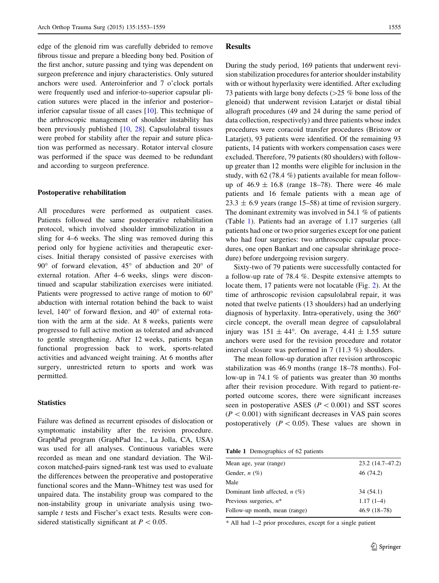edge of the glenoid rim was carefully debrided to remove fibrous tissue and prepare a bleeding bony bed. Position of the first anchor, suture passing and tying was dependent on surgeon preference and injury characteristics. Only sutured anchors were used. Anteroinferior and 7 o'clock portals were frequently used and inferior-to-superior capsular plication sutures were placed in the inferior and posterior– inferior capsular tissue of all cases [10]. This technique of the arthroscopic management of shoulder instability has been previously published [10, 28]. Capsulolabral tissues were probed for stability after the repair and suture plication was performed as necessary. Rotator interval closure was performed if the space was deemed to be redundant and according to surgeon preference.

## Postoperative rehabilitation

All procedures were performed as outpatient cases. Patients followed the same postoperative rehabilitation protocol, which involved shoulder immobilization in a sling for 4–6 weeks. The sling was removed during this period only for hygiene activities and therapeutic exercises. Initial therapy consisted of passive exercises with  $90^{\circ}$  of forward elevation,  $45^{\circ}$  of abduction and  $20^{\circ}$  of external rotation. After 4–6 weeks, slings were discontinued and scapular stabilization exercises were initiated. Patients were progressed to active range of motion to 60° abduction with internal rotation behind the back to waist level,  $140^{\circ}$  of forward flexion, and  $40^{\circ}$  of external rotation with the arm at the side. At 8 weeks, patients were progressed to full active motion as tolerated and advanced to gentle strengthening. After 12 weeks, patients began functional progression back to work, sports-related activities and advanced weight training. At 6 months after surgery, unrestricted return to sports and work was permitted.

# **Statistics**

Failure was defined as recurrent episodes of dislocation or symptomatic instability after the revision procedure. GraphPad program (GraphPad Inc., La Jolla, CA, USA) was used for all analyses. Continuous variables were recorded as mean and one standard deviation. The Wilcoxon matched-pairs signed-rank test was used to evaluate the differences between the preoperative and postoperative functional scores and the Mann–Whitney test was used for unpaired data. The instability group was compared to the non-instability group in univariate analysis using twosample *t* tests and Fischer's exact tests. Results were considered statistically significant at  $P < 0.05$ .

#### **Results**

During the study period, 169 patients that underwent revision stabilization procedures for anterior shoulder instability with or without hyperlaxity were identified. After excluding 73 patients with large bony defects  $(>=25 \%$  bone loss of the glenoid) that underwent revision Latarjet or distal tibial allograft procedures (49 and 24 during the same period of data collection, respectively) and three patients whose index procedures were coracoid transfer procedures (Bristow or Latarjet), 93 patients were identified. Of the remaining 93 patients, 14 patients with workers compensation cases were excluded. Therefore, 79 patients (80 shoulders) with followup greater than 12 months were eligible for inclusion in the study, with 62 (78.4 %) patients available for mean followup of  $46.9 \pm 16.8$  (range 18–78). There were 46 male patients and 16 female patients with a mean age of  $23.3 \pm 6.9$  years (range 15–58) at time of revision surgery. The dominant extremity was involved in 54.1 % of patients (Table 1). Patients had an average of 1.17 surgeries (all patients had one or two prior surgeries except for one patient who had four surgeries: two arthroscopic capsular procedures, one open Bankart and one capsular shrinkage procedure) before undergoing revision surgery.

Sixty-two of 79 patients were successfully contacted for a follow-up rate of 78.4 %. Despite extensive attempts to locate them, 17 patients were not locatable (Fig. 2). At the time of arthroscopic revision capsulolabral repair, it was noted that twelve patients (13 shoulders) had an underlying diagnosis of hyperlaxity. Intra-operatively, using the 360 circle concept, the overall mean degree of capsulolabral injury was  $151 \pm 44^{\circ}$ . On average,  $4.41 \pm 1.55$  suture anchors were used for the revision procedure and rotator interval closure was performed in 7 (11.3 %) shoulders.

The mean follow-up duration after revision arthroscopic stabilization was 46.9 months (range 18–78 months). Follow-up in 74.1 % of patients was greater than 30 months after their revision procedure. With regard to patient-reported outcome scores, there were significant increases seen in postoperative ASES ( $P \lt 0.001$ ) and SST scores  $(P < 0.001)$  with significant decreases in VAS pain scores postoperatively ( $P < 0.05$ ). These values are shown in

Table 1 Demographics of 62 patients

| Mean age, year (range)          | $23.2(14.7-47.2)$ |
|---------------------------------|-------------------|
| Gender, $n$ (%)                 | 46 (74.2)         |
| Male                            |                   |
| Dominant limb affected, $n$ (%) | 34 (54.1)         |
| Previous surgeries, $n^*$       | $1.17(1-4)$       |
| Follow-up month, mean (range)   | $46.9(18-78)$     |

\* All had 1–2 prior procedures, except for a single patient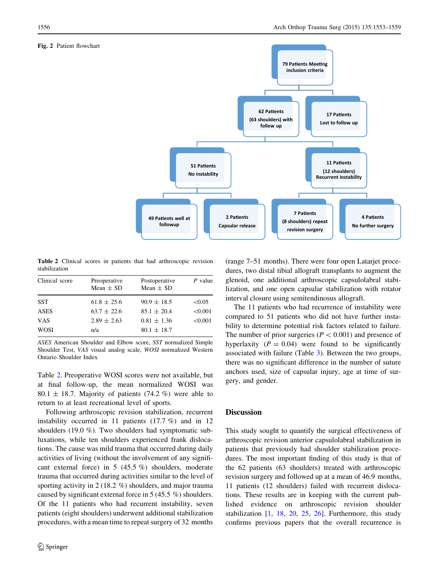#### Fig. 2 Patient flowchart



Table 2 Clinical scores in patients that had arthroscopic revision stabilization

| Clinical score | Preoperative<br>Mean $\pm$ SD | Postoperative<br>Mean $\pm$ SD | P value |
|----------------|-------------------------------|--------------------------------|---------|
| <b>SST</b>     | $61.8 \pm 25.6$               | $90.9 \pm 18.5$                | < 0.05  |
| <b>ASES</b>    | $63.7 \pm 22.6$               | $85.1 \pm 20.4$                | < 0.001 |
| <b>VAS</b>     | $2.89 \pm 2.63$               | $0.81 \pm 1.36$                | < 0.001 |
| <b>WOSI</b>    | n/a                           | $80.1 \pm 18.7$                |         |

ASES American Shoulder and Elbow score, SST normalized Simple Shoulder Test, VAS visual analog scale, WOSI normalized Western Ontario Shoulder Index

Table 2. Preoperative WOSI scores were not available, but at final follow-up, the mean normalized WOSI was 80.1  $\pm$  18.7. Majority of patients (74.2 %) were able to return to at least recreational level of sports.

Following arthroscopic revision stabilization, recurrent instability occurred in 11 patients (17.7 %) and in 12 shoulders (19.0 %). Two shoulders had symptomatic subluxations, while ten shoulders experienced frank dislocations. The cause was mild trauma that occurred during daily activities of living (without the involvement of any significant external force) in 5 (45.5 %) shoulders, moderate trauma that occurred during activities similar to the level of sporting activity in 2 (18.2 %) shoulders, and major trauma caused by significant external force in 5 (45.5 %) shoulders. Of the 11 patients who had recurrent instability, seven patients (eight shoulders) underwent additional stabilization procedures, with a mean time to repeat surgery of 32 months (range 7–51 months). There were four open Latarjet procedures, two distal tibial allograft transplants to augment the glenoid, one additional arthroscopic capsulolabral stabilization, and one open capsular stabilization with rotator interval closure using semitendinosus allograft.

The 11 patients who had recurrence of instability were compared to 51 patients who did not have further instability to determine potential risk factors related to failure. The number of prior surgeries ( $P < 0.001$ ) and presence of hyperlaxity  $(P = 0.04)$  were found to be significantly associated with failure (Table 3). Between the two groups, there was no significant difference in the number of suture anchors used, size of capsular injury, age at time of surgery, and gender.

# **Discussion**

This study sought to quantify the surgical effectiveness of arthroscopic revision anterior capsulolabral stabilization in patients that previously had shoulder stabilization procedures. The most important finding of this study is that of the 62 patients (63 shoulders) treated with arthroscopic revision surgery and followed up at a mean of 46.9 months, 11 patients (12 shoulders) failed with recurrent dislocations. These results are in keeping with the current published evidence on arthroscopic revision shoulder stabilization [1, 18, 20, 25, 26]. Furthermore, this study confirms previous papers that the overall recurrence is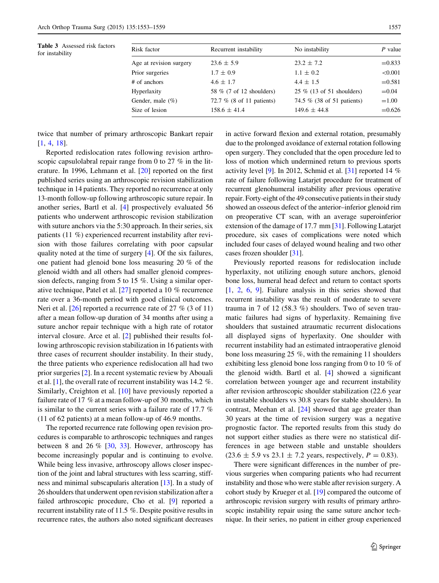Table 3 Assessed risk factors

| <b>Table 3</b> Assessed risk factors<br>for instability | Risk factor             | Recurrent instability     | No instability              | $P$ value |
|---------------------------------------------------------|-------------------------|---------------------------|-----------------------------|-----------|
|                                                         | Age at revision surgery | $23.6 \pm 5.9$            | $23.2 \pm 7.2$              | $=0.833$  |
|                                                         | Prior surgeries         | $1.7 \pm 0.9$             | $1.1 \pm 0.2$               | < 0.001   |
|                                                         | # of anchors            | $4.6 \pm 1.7$             | $4.4 \pm 1.5$               | $=0.581$  |
|                                                         | Hyperlaxity             | 58 % (7 of 12 shoulders)  | $25\%$ (13 of 51 shoulders) | $=0.04$   |
|                                                         | Gender, male $(\%)$     | 72.7 % (8 of 11 patients) | 74.5 % (38 of 51 patients)  | $=1.00$   |
|                                                         | Size of lesion          | $158.6 \pm 41.4$          | $149.6 \pm 44.8$            | $= 0.626$ |

twice that number of primary arthroscopic Bankart repair [1, 4, 18].

Reported redislocation rates following revision arthroscopic capsulolabral repair range from 0 to 27 % in the literature. In 1996, Lehmann et al. [20] reported on the first published series using an arthroscopic revision stabilization technique in 14 patients. They reported no recurrence at only 13-month follow-up following arthroscopic suture repair. In another series, Bartl et al. [4] prospectively evaluated 56 patients who underwent arthroscopic revision stabilization with suture anchors via the 5:30 approach. In their series, six patients (11 %) experienced recurrent instability after revision with those failures correlating with poor capsular quality noted at the time of surgery [4]. Of the six failures, one patient had glenoid bone loss measuring 20 % of the glenoid width and all others had smaller glenoid compression defects, ranging from 5 to 15 %. Using a similar operative technique, Patel et al. [27] reported a 10 % recurrence rate over a 36-month period with good clinical outcomes. Neri et al. [26] reported a recurrence rate of 27 % (3 of 11) after a mean follow-up duration of 34 months after using a suture anchor repair technique with a high rate of rotator interval closure. Arce et al. [2] published their results following arthroscopic revision stabilization in 16 patients with three cases of recurrent shoulder instability. In their study, the three patients who experience redislocation all had two prior surgeries [2]. In a recent systematic review by Abouali et al. [1], the overall rate of recurrent instability was 14.2 %. Similarly, Creighton et al. [10] have previously reported a failure rate of 17 % at a mean follow-up of 30 months, which is similar to the current series with a failure rate of 17.7 % (11 of 62 patients) at a mean follow-up of 46.9 months.

The reported recurrence rate following open revision procedures is comparable to arthroscopic techniques and ranges between 8 and 26 % [30, 33]. However, arthroscopy has become increasingly popular and is continuing to evolve. While being less invasive, arthroscopy allows closer inspection of the joint and labral structures with less scarring, stiffness and minimal subscapularis alteration [13]. In a study of 26 shoulders that underwent open revision stabilization after a failed arthroscopic procedure, Cho et al. [9] reported a recurrent instability rate of 11.5 %. Despite positive results in recurrence rates, the authors also noted significant decreases in active forward flexion and external rotation, presumably due to the prolonged avoidance of external rotation following open surgery. They concluded that the open procedure led to loss of motion which undermined return to previous sports activity level [9]. In 2012, Schmid et al. [31] reported 14 % rate of failure following Latarjet procedure for treatment of recurrent glenohumeral instability after previous operative repair. Forty-eight of the 49 consecutive patients in their study showed an osseous defect of the anterior–inferior glenoid rim on preoperative CT scan, with an average superoinferior extension of the damage of 17.7 mm [31]. Following Latarjet procedure, six cases of complications were noted which included four cases of delayed wound healing and two other cases frozen shoulder [31].

Previously reported reasons for redislocation include hyperlaxity, not utilizing enough suture anchors, glenoid bone loss, humeral head defect and return to contact sports [1, 2, 6, 9]. Failure analysis in this series showed that recurrent instability was the result of moderate to severe trauma in 7 of 12 (58.3 %) shoulders. Two of seven traumatic failures had signs of hyperlaxity. Remaining five shoulders that sustained atraumatic recurrent dislocations all displayed signs of hyperlaxity. One shoulder with recurrent instability had an estimated intraoperative glenoid bone loss measuring 25 %, with the remaining 11 shoulders exhibiting less glenoid bone loss ranging from 0 to 10 % of the glenoid width. Bartl et al. [4] showed a significant correlation between younger age and recurrent instability after revision arthroscopic shoulder stabilization (22.6 year in unstable shoulders vs 30.8 years for stable shoulders). In contrast, Meehan et al. [24] showed that age greater than 30 years at the time of revision surgery was a negative prognostic factor. The reported results from this study do not support either studies as there were no statistical differences in age between stable and unstable shoulders  $(23.6 \pm 5.9 \text{ vs } 23.1 \pm 7.2 \text{ years, respectively, } P = 0.83).$ 

There were significant differences in the number of previous surgeries when comparing patients who had recurrent instability and those who were stable after revision surgery. A cohort study by Krueger et al. [19] compared the outcome of arthroscopic revision surgery with results of primary arthroscopic instability repair using the same suture anchor technique. In their series, no patient in either group experienced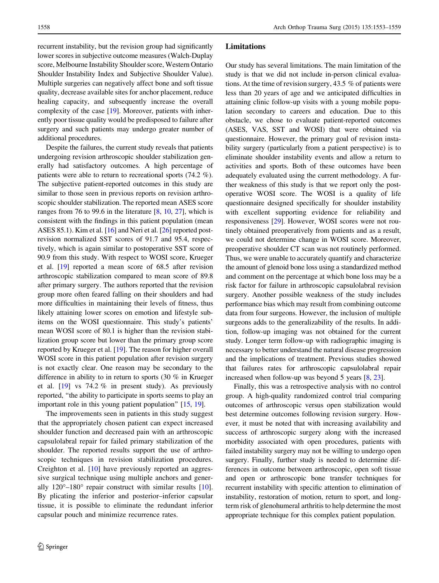recurrent instability, but the revision group had significantly lower scores in subjective outcome measures (Walch-Duplay score, Melbourne Instability Shoulder score, Western Ontario Shoulder Instability Index and Subjective Shoulder Value). Multiple surgeries can negatively affect bone and soft tissue quality, decrease available sites for anchor placement, reduce healing capacity, and subsequently increase the overall complexity of the case [19]. Moreover, patients with inherently poor tissue quality would be predisposed to failure after surgery and such patients may undergo greater number of additional procedures.

Despite the failures, the current study reveals that patients undergoing revision arthroscopic shoulder stabilization generally had satisfactory outcomes. A high percentage of patients were able to return to recreational sports (74.2 %). The subjective patient-reported outcomes in this study are similar to those seen in previous reports on revision arthroscopic shoulder stabilization. The reported mean ASES score ranges from 76 to 99.6 in the literature [8, 10, 27], which is consistent with the findings in this patient population (mean ASES 85.1). Kim et al. [16] and Neri et al. [26] reported postrevision normalized SST scores of 91.7 and 95.4, respectively, which is again similar to postoperative SST score of 90.9 from this study. With respect to WOSI score, Krueger et al. [19] reported a mean score of 68.5 after revision arthroscopic stabilization compared to mean score of 89.8 after primary surgery. The authors reported that the revision group more often feared falling on their shoulders and had more difficulties in maintaining their levels of fitness, thus likely attaining lower scores on emotion and lifestyle subitems on the WOSI questionnaire. This study's patients' mean WOSI score of 80.1 is higher than the revision stabilization group score but lower than the primary group score reported by Krueger et al. [19]. The reason for higher overall WOSI score in this patient population after revision surgery is not exactly clear. One reason may be secondary to the difference in ability to in return to sports (30 % in Krueger et al. [19] vs 74.2 % in present study). As previously reported, ''the ability to participate in sports seems to play an important role in this young patient population'' [15, 19].

The improvements seen in patients in this study suggest that the appropriately chosen patient can expect increased shoulder function and decreased pain with an arthroscopic capsulolabral repair for failed primary stabilization of the shoulder. The reported results support the use of arthroscopic techniques in revision stabilization procedures. Creighton et al. [10] have previously reported an aggressive surgical technique using multiple anchors and generally  $120^{\circ} - 180^{\circ}$  repair construct with similar results [10]. By plicating the inferior and posterior–inferior capsular tissue, it is possible to eliminate the redundant inferior capsular pouch and minimize recurrence rates.

## Limitations

Our study has several limitations. The main limitation of the study is that we did not include in-person clinical evaluations. At the time of revision surgery, 43.5 % of patients were less than 20 years of age and we anticipated difficulties in attaining clinic follow-up visits with a young mobile population secondary to careers and education. Due to this obstacle, we chose to evaluate patient-reported outcomes (ASES, VAS, SST and WOSI) that were obtained via questionnaire. However, the primary goal of revision instability surgery (particularly from a patient perspective) is to eliminate shoulder instability events and allow a return to activities and sports. Both of these outcomes have been adequately evaluated using the current methodology. A further weakness of this study is that we report only the postoperative WOSI score. The WOSI is a quality of life questionnaire designed specifically for shoulder instability with excellent supporting evidence for reliability and responsiveness [29]. However, WOSI scores were not routinely obtained preoperatively from patients and as a result, we could not determine change in WOSI score. Moreover, preoperative shoulder CT scan was not routinely performed. Thus, we were unable to accurately quantify and characterize the amount of glenoid bone loss using a standardized method and comment on the percentage at which bone loss may be a risk factor for failure in arthroscopic capsulolabral revision surgery. Another possible weakness of the study includes performance bias which may result from combining outcome data from four surgeons. However, the inclusion of multiple surgeons adds to the generalizability of the results. In addition, follow-up imaging was not obtained for the current study. Longer term follow-up with radiographic imaging is necessary to better understand the natural disease progression and the implications of treatment. Previous studies showed that failures rates for arthroscopic capsulolabral repair increased when follow-up was beyond 5 years [8, 23].

Finally, this was a retrospective analysis with no control group. A high-quality randomized control trial comparing outcomes of arthroscopic versus open stabilization would best determine outcomes following revision surgery. However, it must be noted that with increasing availability and success of arthroscopic surgery along with the increased morbidity associated with open procedures, patients with failed instability surgery may not be willing to undergo open surgery. Finally, further study is needed to determine differences in outcome between arthroscopic, open soft tissue and open or arthroscopic bone transfer techniques for recurrent instability with specific attention to elimination of instability, restoration of motion, return to sport, and longterm risk of glenohumeral arthritis to help determine the most appropriate technique for this complex patient population.